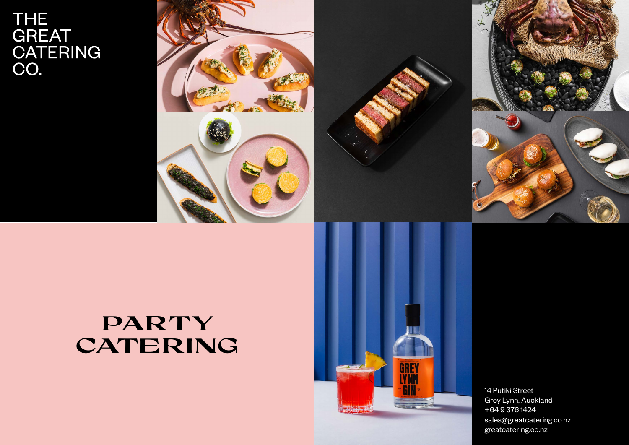# THE<br>GREAT<br>CATERING<br>CO.



## **PARTY CATERING**





14 Putiki Street Grey Lynn, Auckland +64 9 376 1424 sales@greatcatering.co.nz greatcatering.co.nz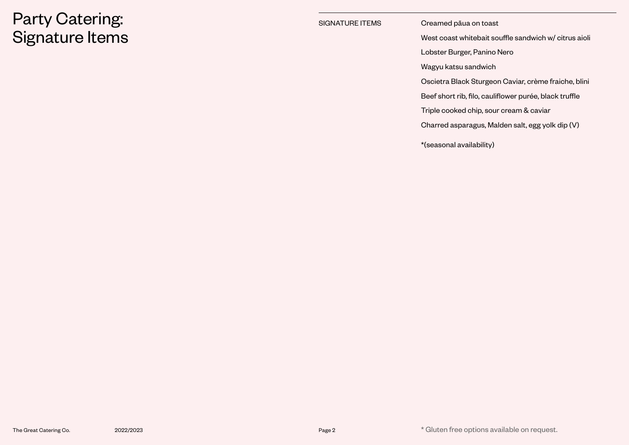### Party Catering: Signature Items

#### SIGNATURE ITEMS Creamed pāua on toast

West coast whitebait souffle sandwich w/ citrus aioli

Lobster Burger, Panino Nero

Wagyu katsu sandwich

Oscietra Black Sturgeon Caviar, crème fraiche, blini

Beef short rib, filo, cauliflower purée, black truffle

Triple cooked chip, sour cream & caviar

Charred asparagus, Malden salt, egg yolk dip (V)

\*(seasonal availability)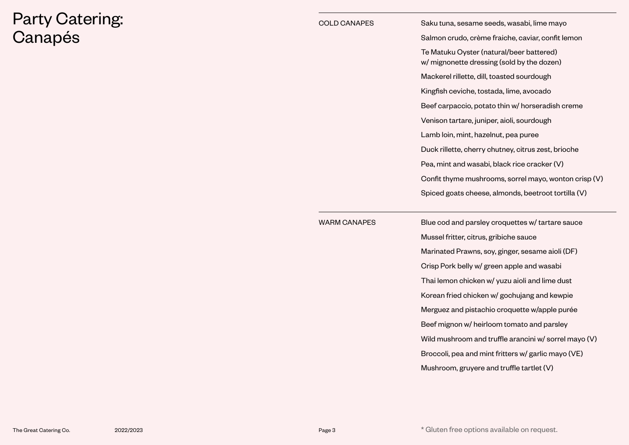### Party Catering: Canapés

| <b>COLD CANAPES</b> | Saku tuna, sesame seeds, wasabi, lime mayo                                             |
|---------------------|----------------------------------------------------------------------------------------|
|                     | Salmon crudo, crème fraiche, caviar, confit lemon                                      |
|                     | Te Matuku Oyster (natural/beer battered)<br>w/ mignonette dressing (sold by the dozen) |
|                     | Mackerel rillette, dill, toasted sourdough                                             |
|                     | Kingfish ceviche, tostada, lime, avocado                                               |
|                     | Beef carpaccio, potato thin w/ horseradish creme                                       |
|                     | Venison tartare, juniper, aioli, sourdough                                             |
|                     | Lamb loin, mint, hazelnut, pea puree                                                   |
|                     | Duck rillette, cherry chutney, citrus zest, brioche                                    |
|                     | Pea, mint and wasabi, black rice cracker (V)                                           |
|                     | Confit thyme mushrooms, sorrel mayo, wonton crisp (V)                                  |
|                     | Spiced goats cheese, almonds, beetroot tortilla (V)                                    |
| <b>WARM CANAPES</b> | Blue cod and parsley croquettes w/ tartare sauce                                       |
|                     | Mussel fritter, citrus, gribiche sauce                                                 |
|                     | Marinated Prawns, soy, ginger, sesame aioli (DF)                                       |
|                     | Crisp Pork belly w/ green apple and wasabi                                             |
|                     | Thai lemon chicken w/ yuzu aioli and lime dust                                         |
|                     | Korean fried chicken w/ gochujang and kewpie                                           |
|                     | Merguez and pistachio croquette w/apple purée                                          |
|                     | Beef mignon w/ heirloom tomato and parsley                                             |
|                     | Wild mushroom and truffle arancini w/ sorrel mayo (V)                                  |
|                     | Broccoli, pea and mint fritters w/ garlic mayo (VE)                                    |
|                     | Mushroom, gruyere and truffle tartlet (V)                                              |
|                     |                                                                                        |

The Great Catering Co. 2022/2023 2022/2023 2008 2022/2023 20:30 Page 3 \* Gluten free options available on request.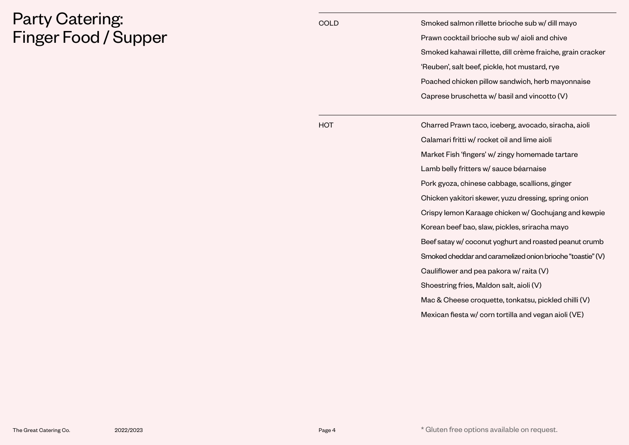### Party Catering: Finger Food / Supper

| <b>COLD</b> | Smoked salmon rillette brioche sub w/ dill mayo            |
|-------------|------------------------------------------------------------|
|             | Prawn cocktail brioche sub w/ aioli and chive              |
|             | Smoked kahawai rillette, dill crème fraiche, grain cracker |
|             | 'Reuben', salt beef, pickle, hot mustard, rye              |
|             | Poached chicken pillow sandwich, herb mayonnaise           |
|             | Caprese bruschetta w/ basil and vincotto (V)               |
| нот         | Charred Prawn taco, iceberg, avocado, siracha, aioli       |
|             | Calamari fritti w/ rocket oil and lime aioli               |
|             | Market Fish 'fingers' w/ zingy homemade tartare            |
|             | Lamb belly fritters w/ sauce béarnaise                     |
|             | Pork gyoza, chinese cabbage, scallions, ginger             |
|             | Chicken yakitori skewer, yuzu dressing, spring onion       |
|             | Crispy lemon Karaage chicken w/ Gochujang and kewpie       |
|             | Korean beef bao, slaw, pickles, sriracha mayo              |
|             | Beef satay w/ coconut yoghurt and roasted peanut crumb     |
|             | Smoked cheddar and caramelized onion brioche "toastie" (V) |
|             | Cauliflower and pea pakora w/ raita (V)                    |
|             | Shoestring fries, Maldon salt, aioli (V)                   |
|             | Mac & Cheese croquette, tonkatsu, pickled chilli (V)       |
|             | Mexican fiesta w/ corn tortilla and vegan aioli (VE)       |
|             |                                                            |

The Great Catering Co. 2022/2023 2023 2008 2022/2023 20:30 Page 4 2022/2023 20:30 20:30 20:30 20:30 20:30 20:30 20:30 20:30 20:30 20:30 20:30 20:30 20:30 20:30 20:30 20:30 20:30 20:30 20:30 20:30 20:30 20:30 20:30 20:30 20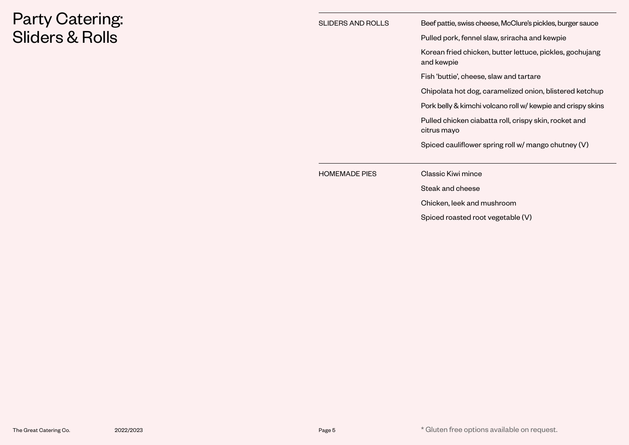## Party Catering: Sliders & Rolls

| <b>SLIDERS AND ROLLS</b> | Beef pattie, swiss cheese, McClure's pickles, burger sauce             |  |  |
|--------------------------|------------------------------------------------------------------------|--|--|
|                          | Pulled pork, fennel slaw, sriracha and kewpie                          |  |  |
|                          | Korean fried chicken, butter lettuce, pickles, gochujang<br>and kewpie |  |  |
|                          | Fish 'buttie', cheese, slaw and tartare                                |  |  |
|                          | Chipolata hot dog, caramelized onion, blistered ketchup                |  |  |
|                          | Pork belly & kimchi volcano roll w/ kewpie and crispy skins            |  |  |
|                          | Pulled chicken ciabatta roll, crispy skin, rocket and<br>citrus mayo   |  |  |
|                          | Spiced cauliflower spring roll w/ mango chutney (V)                    |  |  |
| <b>HOMEMADE PIES</b>     | Classic Kiwi mince                                                     |  |  |
|                          | Steak and cheese                                                       |  |  |
|                          | Chicken, leek and mushroom                                             |  |  |
|                          | Spiced roasted root vegetable (V)                                      |  |  |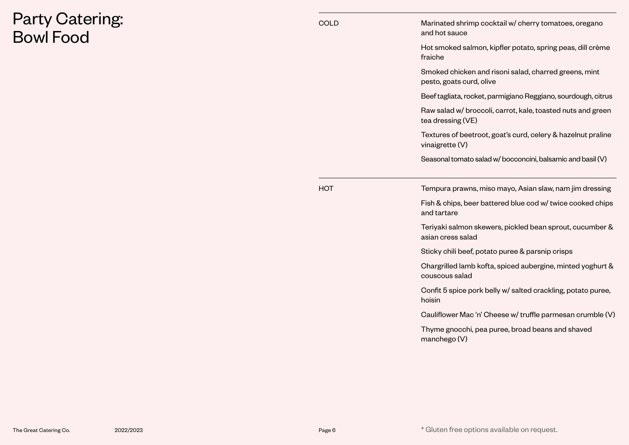### Party Catering: Bowl Food

| COLD | Marinated shrimp cocktail w/ cherry tomatoes, oregano<br>and hot sauce            |
|------|-----------------------------------------------------------------------------------|
|      | Hot smoked salmon, kipfler potato, spring peas, dill crème<br>fraiche             |
|      | Smoked chicken and risoni salad, charred greens, mint<br>pesto, goats curd, olive |
|      | Beef tagliata, rocket, parmigiano Reggiano, sourdough, citrus                     |
|      | Raw salad w/ broccoli, carrot, kale, toasted nuts and green<br>tea dressing (VE)  |
|      | Textures of beetroot, goat's curd, celery & hazelnut praline<br>vinaigrette (V)   |
|      | Seasonal tomato salad w/ bocconcini, balsamic and basil (V)                       |
| НОТ  | Tempura prawns, miso mayo, Asian slaw, nam jim dressing                           |
|      | Fish & chips, beer battered blue cod w/ twice cooked chips<br>and tartare         |
|      | Teriyaki salmon skewers, pickled bean sprout, cucumber &<br>asian cress salad     |
|      | Sticky chili beef, potato puree & parsnip crisps                                  |
|      | Chargrilled lamb kofta, spiced aubergine, minted yoghurt &<br>couscous salad      |
|      | Confit 5 spice pork belly w/ salted crackling, potato puree,<br>hoisin            |
|      | Cauliflower Mac 'n' Cheese w/ truffle parmesan crumble (V)                        |
|      | Thyme gnocchi, pea puree, broad beans and shaved<br>manchego (V)                  |
|      |                                                                                   |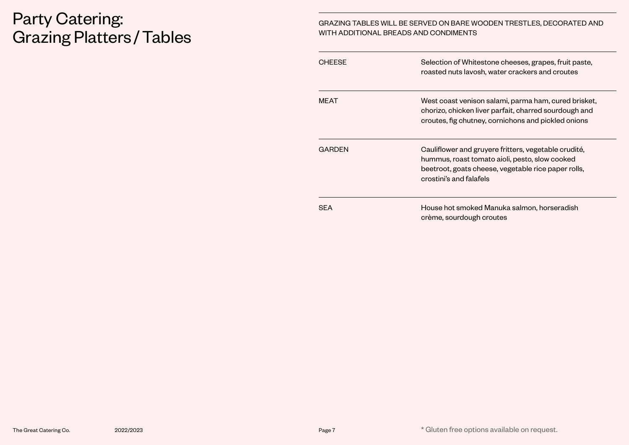#### Party Catering: Grazing Platters /Tables

#### GRAZING TABLES WILL BE SERVED ON BARE WOODEN TRESTLES, DECORATED AND WITH ADDITIONAL BREADS AND CONDIMENTS

| <b>CHFFSF</b> | Selection of Whitestone cheeses, grapes, fruit paste,<br>roasted nuts lavosh, water crackers and croutes                                                                                 |
|---------------|------------------------------------------------------------------------------------------------------------------------------------------------------------------------------------------|
| <b>MFAT</b>   | West coast venison salami, parma ham, cured brisket,<br>chorizo, chicken liver parfait, charred sourdough and<br>croutes, fig chutney, cornichons and pickled onions                     |
| <b>GARDEN</b> | Cauliflower and gruyere fritters, vegetable crudité,<br>hummus, roast tomato aioli, pesto, slow cooked<br>beetroot, goats cheese, vegetable rice paper rolls,<br>crostini's and falafels |
| <b>SFA</b>    | House hot smoked Manuka salmon, horseradish<br>crème, sourdough croutes                                                                                                                  |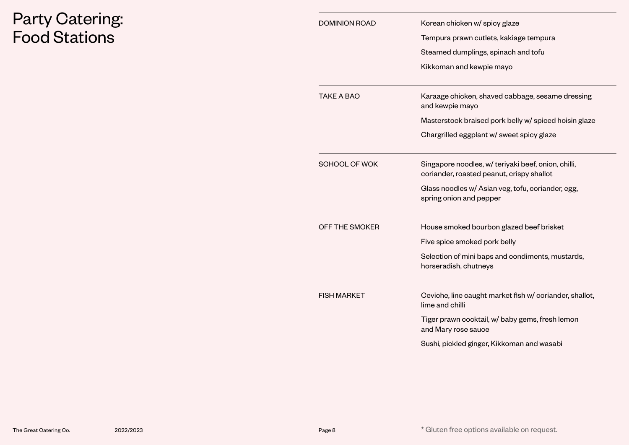### Party Catering: Food Stations

| <b>DOMINION ROAD</b> | Korean chicken w/ spicy glaze                                                                    |
|----------------------|--------------------------------------------------------------------------------------------------|
|                      | Tempura prawn cutlets, kakiage tempura                                                           |
|                      | Steamed dumplings, spinach and tofu                                                              |
|                      | Kikkoman and kewpie mayo                                                                         |
| <b>TAKE A BAO</b>    | Karaage chicken, shaved cabbage, sesame dressing<br>and kewpie mayo                              |
|                      | Masterstock braised pork belly w/ spiced hoisin glaze                                            |
|                      | Chargrilled eggplant w/ sweet spicy glaze                                                        |
| SCHOOL OF WOK        | Singapore noodles, w/ teriyaki beef, onion, chilli,<br>coriander, roasted peanut, crispy shallot |
|                      | Glass noodles w/ Asian veg, tofu, coriander, egg,<br>spring onion and pepper                     |
| OFF THE SMOKER       | House smoked bourbon glazed beef brisket                                                         |
|                      | Five spice smoked pork belly                                                                     |
|                      | Selection of mini baps and condiments, mustards,<br>horseradish, chutneys                        |
| <b>FISH MARKET</b>   | Ceviche, line caught market fish w/ coriander, shallot,<br>lime and chilli                       |
|                      | Tiger prawn cocktail, w/ baby gems, fresh lemon                                                  |
|                      | and Mary rose sauce                                                                              |